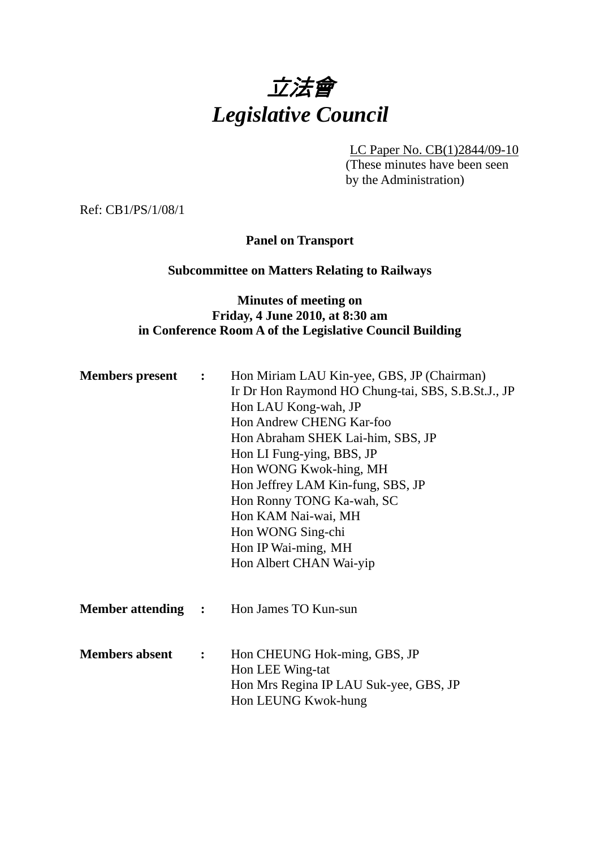

LC Paper No. CB(1)2844/09-10

(These minutes have been seen by the Administration)

Ref: CB1/PS/1/08/1

**Panel on Transport** 

## **Subcommittee on Matters Relating to Railways**

# **Minutes of meeting on Friday, 4 June 2010, at 8:30 am in Conference Room A of the Legislative Council Building**

| <b>Members present :</b>  | Hon Miriam LAU Kin-yee, GBS, JP (Chairman)<br>Ir Dr Hon Raymond HO Chung-tai, SBS, S.B.St.J., JP<br>Hon LAU Kong-wah, JP<br>Hon Andrew CHENG Kar-foo<br>Hon Abraham SHEK Lai-him, SBS, JP<br>Hon LI Fung-ying, BBS, JP<br>Hon WONG Kwok-hing, MH<br>Hon Jeffrey LAM Kin-fung, SBS, JP<br>Hon Ronny TONG Ka-wah, SC<br>Hon KAM Nai-wai, MH<br>Hon WONG Sing-chi<br>Hon IP Wai-ming, MH<br>Hon Albert CHAN Wai-yip |
|---------------------------|------------------------------------------------------------------------------------------------------------------------------------------------------------------------------------------------------------------------------------------------------------------------------------------------------------------------------------------------------------------------------------------------------------------|
|                           | <b>Member attending : Hon James TO Kun-sun</b>                                                                                                                                                                                                                                                                                                                                                                   |
| <b>Members absent : :</b> | Hon CHEUNG Hok-ming, GBS, JP<br>Hon LEE Wing-tat<br>Hon Mrs Regina IP LAU Suk-yee, GBS, JP<br>Hon LEUNG Kwok-hung                                                                                                                                                                                                                                                                                                |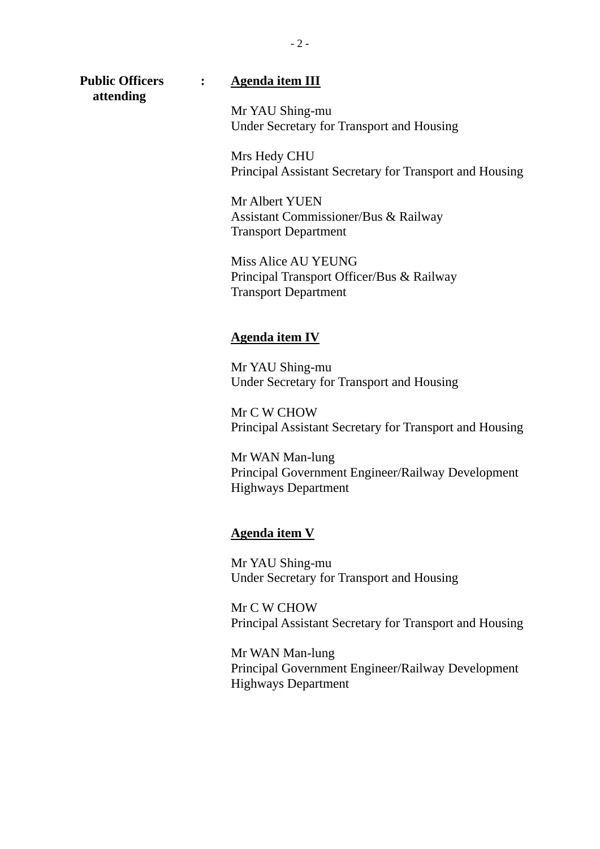**attending** 

## **Public Officers : Agenda item III**

Mr YAU Shing-mu Under Secretary for Transport and Housing

Mrs Hedy CHU Principal Assistant Secretary for Transport and Housing

Mr Albert YUEN Assistant Commissioner/Bus & Railway Transport Department

Miss Alice AU YEUNG Principal Transport Officer/Bus & Railway Transport Department

#### **Agenda item IV**

Mr YAU Shing-mu Under Secretary for Transport and Housing

Mr C W CHOW Principal Assistant Secretary for Transport and Housing

Mr WAN Man-lung Principal Government Engineer/Railway Development Highways Department

#### **Agenda item V**

Mr YAU Shing-mu Under Secretary for Transport and Housing

Mr C W CHOW Principal Assistant Secretary for Transport and Housing

Mr WAN Man-lung Principal Government Engineer/Railway Development Highways Department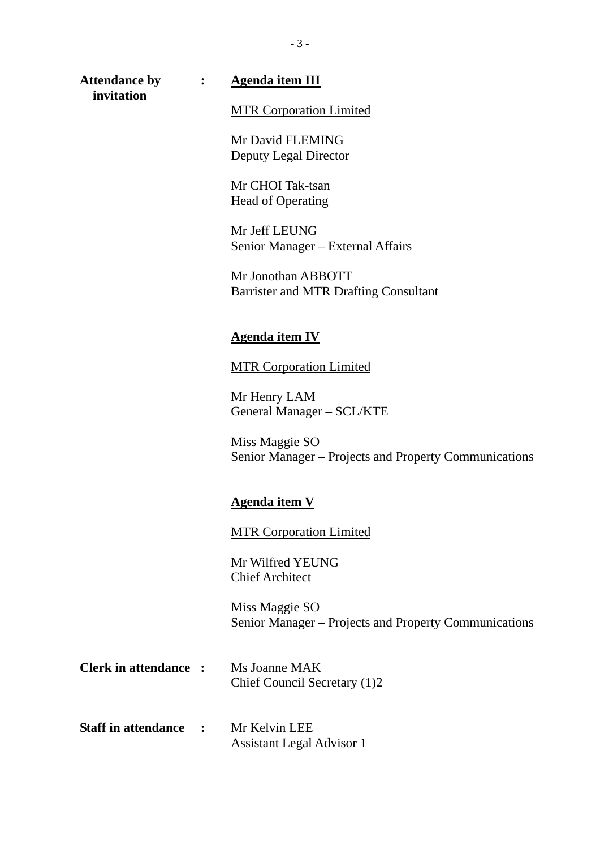**invitation** 

#### **Attendance by : Agenda item III**

MTR Corporation Limited

Mr David FLEMING Deputy Legal Director

Mr CHOI Tak-tsan Head of Operating

Mr Jeff LEUNG Senior Manager – External Affairs

Mr Jonothan ABBOTT Barrister and MTR Drafting Consultant

#### **Agenda item IV**

MTR Corporation Limited

Mr Henry LAM General Manager – SCL/KTE

Miss Maggie SO Senior Manager – Projects and Property Communications

### **Agenda item V**

MTR Corporation Limited

Mr Wilfred YEUNG Chief Architect

Miss Maggie SO Senior Manager – Projects and Property Communications

- **Clerk in attendance :** Ms Joanne MAK Chief Council Secretary (1)2
- **Staff in attendance :** Mr Kelvin LEE Assistant Legal Advisor 1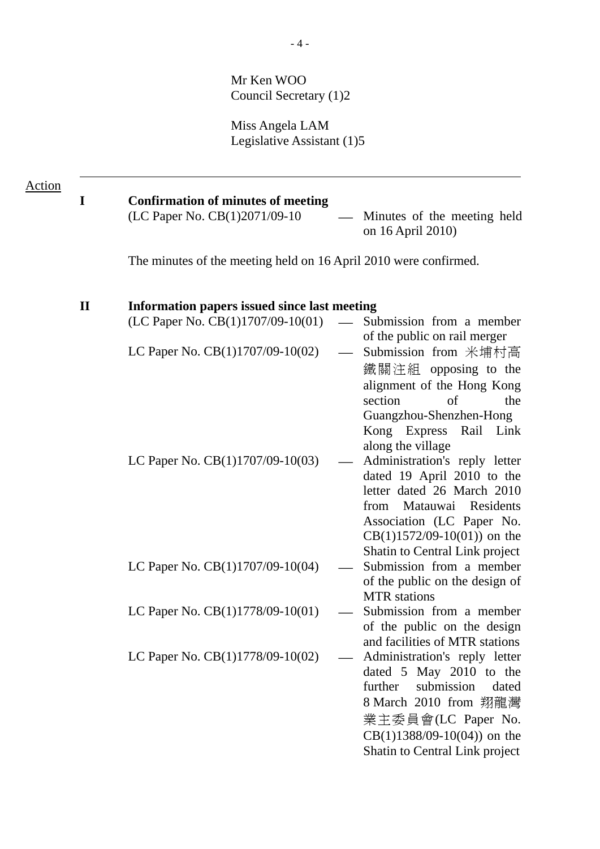Mr Ken WOO Council Secretary (1)2

Miss Angela LAM Legislative Assistant (1)5

| Action |              |                                                                                                                                                               |                                                                                                                                                                                                                                                                                                                                                                                                                                     |
|--------|--------------|---------------------------------------------------------------------------------------------------------------------------------------------------------------|-------------------------------------------------------------------------------------------------------------------------------------------------------------------------------------------------------------------------------------------------------------------------------------------------------------------------------------------------------------------------------------------------------------------------------------|
|        | I            | <b>Confirmation of minutes of meeting</b><br>(LC Paper No. CB(1)2071/09-10                                                                                    | Minutes of the meeting held<br>on 16 April 2010)                                                                                                                                                                                                                                                                                                                                                                                    |
|        |              | The minutes of the meeting held on 16 April 2010 were confirmed.                                                                                              |                                                                                                                                                                                                                                                                                                                                                                                                                                     |
|        | $\mathbf{I}$ | Information papers issued since last meeting<br>(LC Paper No. CB(1)1707/09-10(01)<br>LC Paper No. $CB(1)1707/09-10(02)$<br>LC Paper No. $CB(1)1707/09-10(03)$ | Submission from a member<br>of the public on rail merger<br>Submission from 米埔村高<br>鐵關注組 opposing to the<br>alignment of the Hong Kong<br>section<br>of<br>the<br>Guangzhou-Shenzhen-Hong<br>Kong Express<br>Rail Link<br>along the village<br>Administration's reply letter<br>dated 19 April 2010 to the<br>letter dated 26 March 2010<br>Matauwai Residents<br>from<br>Association (LC Paper No.<br>$CB(1)1572/09-10(01)$ on the |
|        |              | LC Paper No. CB(1)1707/09-10(04)                                                                                                                              | Shatin to Central Link project<br>Submission from a member<br>of the public on the design of<br><b>MTR</b> stations                                                                                                                                                                                                                                                                                                                 |
|        |              | LC Paper No. CB(1)1778/09-10(01)                                                                                                                              | Submission from a member<br>of the public on the design<br>and facilities of MTR stations                                                                                                                                                                                                                                                                                                                                           |
|        |              | LC Paper No. CB(1)1778/09-10(02)                                                                                                                              | Administration's reply letter<br>dated 5 May 2010 to the<br>further<br>submission<br>dated<br>8 March 2010 from 翔龍灣<br>業主委員會(LC Paper No.<br>$CB(1)1388/09-10(04)$ on the<br>Shatin to Central Link project                                                                                                                                                                                                                         |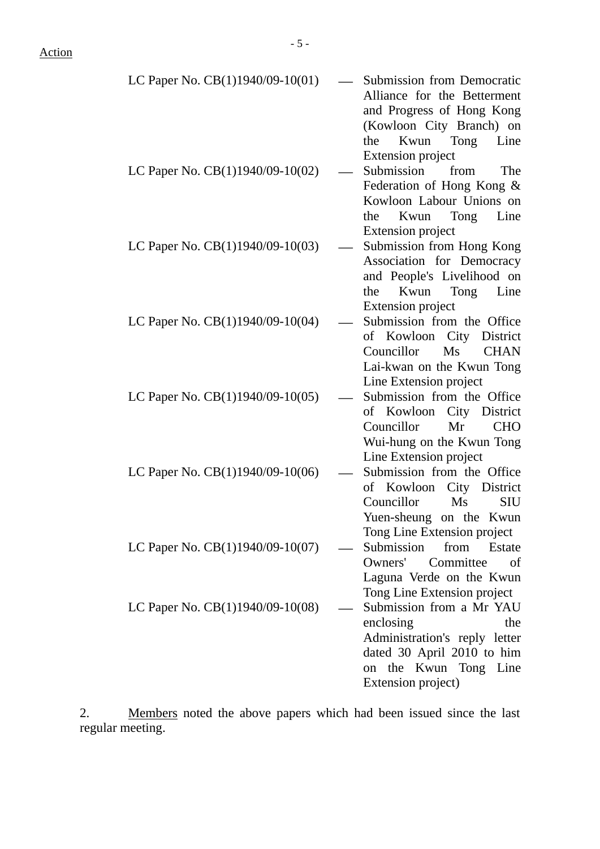| LC Paper No. CB(1)1940/09-10(01)   | <b>Submission from Democratic</b><br>Alliance for the Betterment<br>and Progress of Hong Kong<br>(Kowloon City Branch) on<br>Kwun<br>Tong<br>the<br>Line                                     |
|------------------------------------|----------------------------------------------------------------------------------------------------------------------------------------------------------------------------------------------|
| LC Paper No. CB(1)1940/09-10(02)   | <b>Extension project</b><br>Submission<br>from<br>The<br>Federation of Hong Kong &<br>Kowloon Labour Unions on<br>Kwun Tong<br>Line<br>the                                                   |
| LC Paper No. CB(1)1940/09-10(03)   | <b>Extension project</b><br>Submission from Hong Kong<br>Association for Democracy<br>and People's Livelihood on<br>Line<br>Kwun<br>Tong<br>the                                              |
| LC Paper No. CB(1)1940/09-10(04)   | <b>Extension project</b><br>Submission from the Office<br>of Kowloon City District<br>Councillor<br>Ms<br><b>CHAN</b><br>Lai-kwan on the Kwun Tong                                           |
| LC Paper No. CB(1)1940/09-10(05)   | Line Extension project<br>Submission from the Office<br>of Kowloon City District<br>Councillor<br>Mr<br><b>CHO</b><br>Wui-hung on the Kwun Tong                                              |
| LC Paper No. $CB(1)1940/09-10(06)$ | Line Extension project<br>Submission from the Office<br>of Kowloon<br>City District<br>Councillor<br>Ms<br><b>SIU</b><br>Yuen-sheung on the Kwun                                             |
| LC Paper No. CB(1)1940/09-10(07)   | Tong Line Extension project<br>Submission<br>from<br>Estate<br>Owners'<br>Committee<br>of<br>Laguna Verde on the Kwun                                                                        |
| LC Paper No. $CB(1)1940/09-10(08)$ | Tong Line Extension project<br>Submission from a Mr YAU<br>enclosing<br>the<br>Administration's reply letter<br>dated 30 April 2010 to him<br>the Kwun Tong Line<br>on<br>Extension project) |

2. Members noted the above papers which had been issued since the last regular meeting.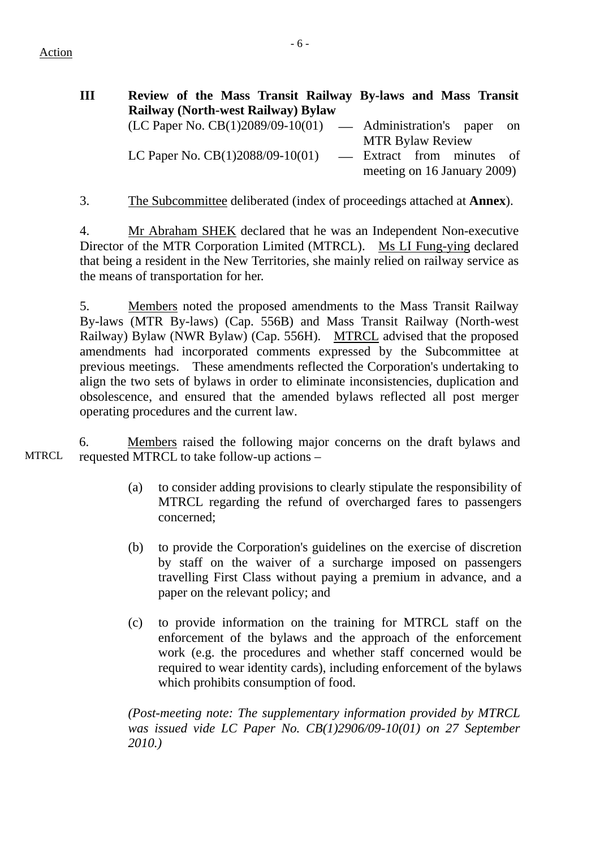Action

| Ш | Review of the Mass Transit Railway By-laws and Mass Transit    |                                                          |  |    |
|---|----------------------------------------------------------------|----------------------------------------------------------|--|----|
|   | <b>Railway (North-west Railway) Bylaw</b>                      |                                                          |  |    |
|   | $(LC$ Paper No. $CB(1)2089/09-10(01)$ — Administration's paper |                                                          |  | on |
|   |                                                                | <b>MTR Bylaw Review</b>                                  |  |    |
|   | LC Paper No. $CB(1)2088/09-10(01)$                             | - Extract from minutes of<br>meeting on 16 January 2009) |  |    |

3. The Subcommittee deliberated (index of proceedings attached at **Annex**).

4. Mr Abraham SHEK declared that he was an Independent Non-executive Director of the MTR Corporation Limited (MTRCL). Ms LI Fung-ying declared that being a resident in the New Territories, she mainly relied on railway service as the means of transportation for her.

5. Members noted the proposed amendments to the Mass Transit Railway By-laws (MTR By-laws) (Cap. 556B) and Mass Transit Railway (North-west Railway) Bylaw (NWR Bylaw) (Cap. 556H). MTRCL advised that the proposed amendments had incorporated comments expressed by the Subcommittee at previous meetings. These amendments reflected the Corporation's undertaking to align the two sets of bylaws in order to eliminate inconsistencies, duplication and obsolescence, and ensured that the amended bylaws reflected all post merger operating procedures and the current law.

**MTRCL** 6. Members raised the following major concerns on the draft bylaws and requested MTRCL to take follow-up actions –

- (a) to consider adding provisions to clearly stipulate the responsibility of MTRCL regarding the refund of overcharged fares to passengers concerned;
- (b) to provide the Corporation's guidelines on the exercise of discretion by staff on the waiver of a surcharge imposed on passengers travelling First Class without paying a premium in advance, and a paper on the relevant policy; and
- (c) to provide information on the training for MTRCL staff on the enforcement of the bylaws and the approach of the enforcement work (e.g. the procedures and whether staff concerned would be required to wear identity cards), including enforcement of the bylaws which prohibits consumption of food.

*(Post-meeting note: The supplementary information provided by MTRCL was issued vide LC Paper No. CB(1)2906/09-10(01) on 27 September 2010.)*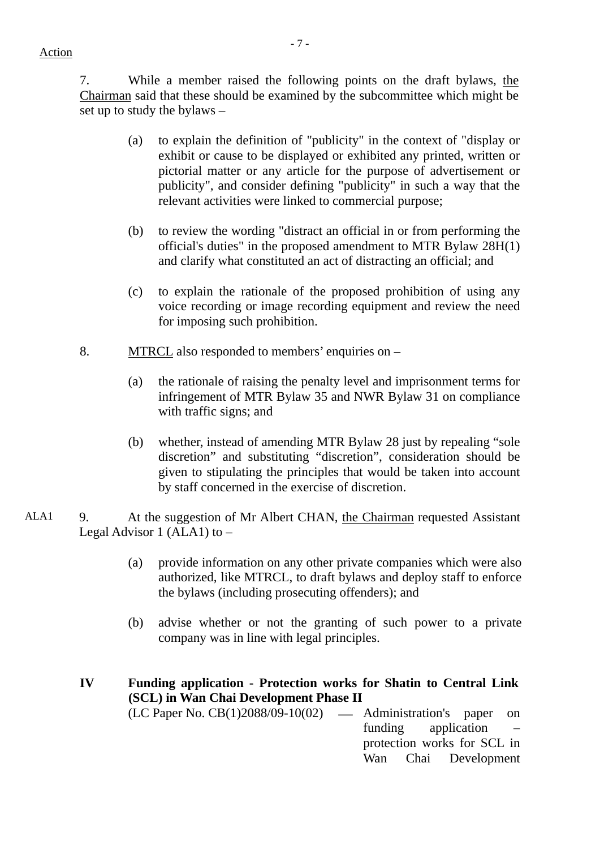7. While a member raised the following points on the draft bylaws, the Chairman said that these should be examined by the subcommittee which might be set up to study the bylaws –

- (a) to explain the definition of "publicity" in the context of "display or exhibit or cause to be displayed or exhibited any printed, written or pictorial matter or any article for the purpose of advertisement or publicity", and consider defining "publicity" in such a way that the relevant activities were linked to commercial purpose;
- (b) to review the wording "distract an official in or from performing the official's duties" in the proposed amendment to MTR Bylaw 28H(1) and clarify what constituted an act of distracting an official; and
- (c) to explain the rationale of the proposed prohibition of using any voice recording or image recording equipment and review the need for imposing such prohibition.
- 8. MTRCL also responded to members' enquiries on
	- (a) the rationale of raising the penalty level and imprisonment terms for infringement of MTR Bylaw 35 and NWR Bylaw 31 on compliance with traffic signs; and
	- (b) whether, instead of amending MTR Bylaw 28 just by repealing "sole discretion" and substituting "discretion", consideration should be given to stipulating the principles that would be taken into account by staff concerned in the exercise of discretion.
- ALA1 9. At the suggestion of Mr Albert CHAN, the Chairman requested Assistant Legal Advisor 1 (ALA1) to –
	- (a) provide information on any other private companies which were also authorized, like MTRCL, to draft bylaws and deploy staff to enforce the bylaws (including prosecuting offenders); and
	- (b) advise whether or not the granting of such power to a private company was in line with legal principles.
	- **IV Funding application Protection works for Shatin to Central Link (SCL) in Wan Chai Development Phase II**   $(LC$  Paper No.  $CB(1)2088/09-10(02)$  — Administration's paper on funding application – protection works for SCL in Wan Chai Development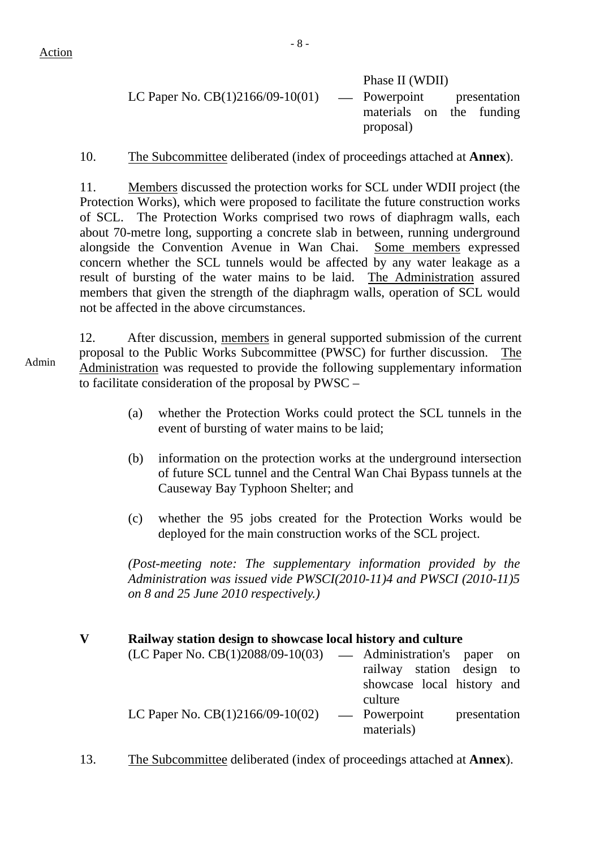Action

Phase II (WDII) LC Paper No.  $CB(1)2166/09-10(01)$  — Powerpoint presentation materials on the funding proposal)

10. The Subcommittee deliberated (index of proceedings attached at **Annex**).

11. Members discussed the protection works for SCL under WDII project (the Protection Works), which were proposed to facilitate the future construction works of SCL. The Protection Works comprised two rows of diaphragm walls, each about 70-metre long, supporting a concrete slab in between, running underground alongside the Convention Avenue in Wan Chai. Some members expressed concern whether the SCL tunnels would be affected by any water leakage as a result of bursting of the water mains to be laid. The Administration assured members that given the strength of the diaphragm walls, operation of SCL would not be affected in the above circumstances.

Admin 12. After discussion, members in general supported submission of the current proposal to the Public Works Subcommittee (PWSC) for further discussion. The Administration was requested to provide the following supplementary information to facilitate consideration of the proposal by PWSC –

- (a) whether the Protection Works could protect the SCL tunnels in the event of bursting of water mains to be laid;
- (b) information on the protection works at the underground intersection of future SCL tunnel and the Central Wan Chai Bypass tunnels at the Causeway Bay Typhoon Shelter; and
- (c) whether the 95 jobs created for the Protection Works would be deployed for the main construction works of the SCL project.

*(Post-meeting note: The supplementary information provided by the Administration was issued vide PWSCI(2010-11)4 and PWSCI (2010-11)5 on 8 and 25 June 2010 respectively.)* 

| $\overline{\mathbf{V}}$ |  |  | Railway station design to showcase local history and culture |
|-------------------------|--|--|--------------------------------------------------------------|
|-------------------------|--|--|--------------------------------------------------------------|

| $(LC$ Paper No. $CB(1)2088/09-10(03)$ — Administration's paper on |                            |              |  |
|-------------------------------------------------------------------|----------------------------|--------------|--|
|                                                                   | railway station design to  |              |  |
|                                                                   | showcase local history and |              |  |
|                                                                   | culture                    |              |  |
| LC Paper No. $CB(1)2166/09-10(02)$                                | — Powerpoint               | presentation |  |
|                                                                   | materials)                 |              |  |

13. The Subcommittee deliberated (index of proceedings attached at **Annex**).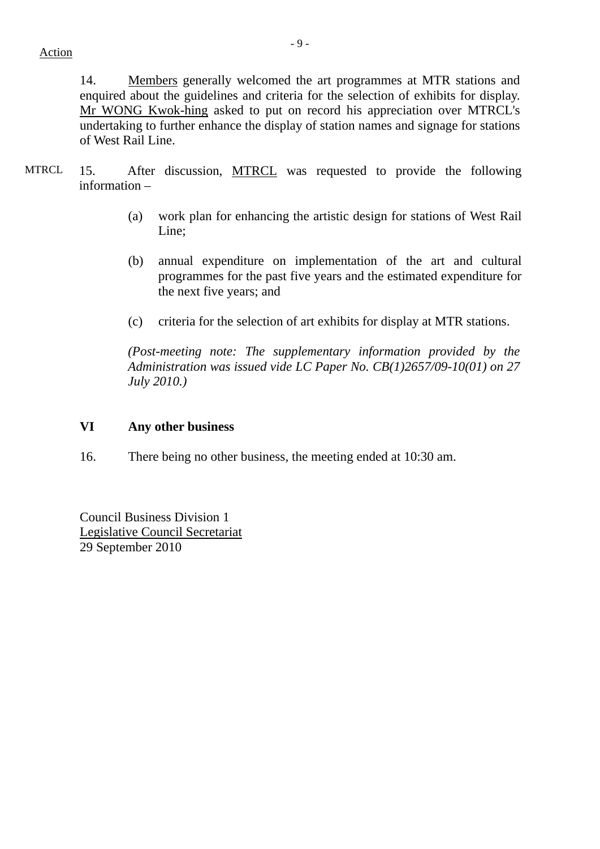14. Members generally welcomed the art programmes at MTR stations and enquired about the guidelines and criteria for the selection of exhibits for display. Mr WONG Kwok-hing asked to put on record his appreciation over MTRCL's undertaking to further enhance the display of station names and signage for stations of West Rail Line.

- MTRCL 15. After discussion, MTRCL was requested to provide the following information –
	- (a) work plan for enhancing the artistic design for stations of West Rail Line;
	- (b) annual expenditure on implementation of the art and cultural programmes for the past five years and the estimated expenditure for the next five years; and
	- (c) criteria for the selection of art exhibits for display at MTR stations.

*(Post-meeting note: The supplementary information provided by the Administration was issued vide LC Paper No. CB(1)2657/09-10(01) on 27 July 2010.)* 

## **VI Any other business**

16. There being no other business, the meeting ended at 10:30 am.

Council Business Division 1 Legislative Council Secretariat 29 September 2010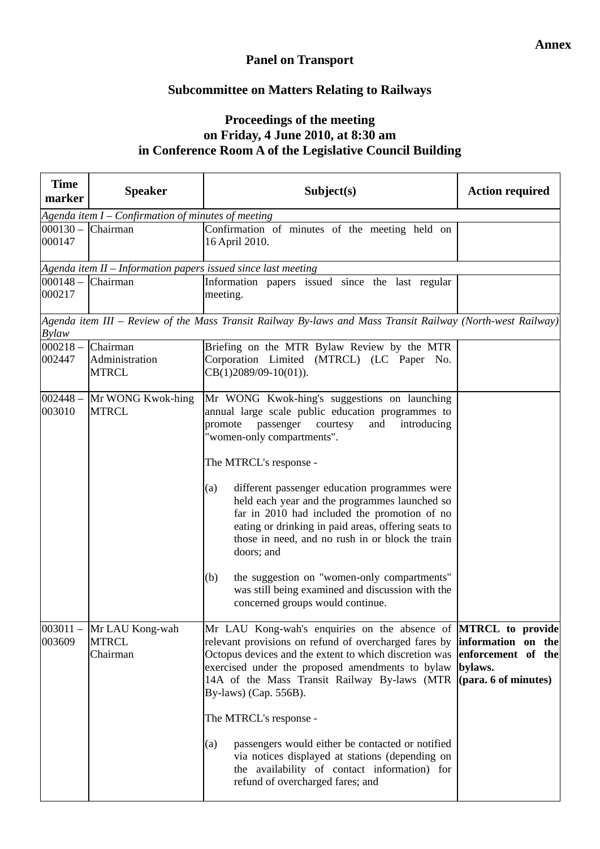## **Panel on Transport**

# **Subcommittee on Matters Relating to Railways**

# **Proceedings of the meeting on Friday, 4 June 2010, at 8:30 am in Conference Room A of the Legislative Council Building**

| <b>Time</b><br>marker           | <b>Speaker</b>                                       | Subject(s)                                                                                                                                                                                                                                                                                                                                                                                                                                                                                                                                                                                                                                          | <b>Action required</b>                                                                        |  |  |
|---------------------------------|------------------------------------------------------|-----------------------------------------------------------------------------------------------------------------------------------------------------------------------------------------------------------------------------------------------------------------------------------------------------------------------------------------------------------------------------------------------------------------------------------------------------------------------------------------------------------------------------------------------------------------------------------------------------------------------------------------------------|-----------------------------------------------------------------------------------------------|--|--|
|                                 | Agenda item $I$ – Confirmation of minutes of meeting |                                                                                                                                                                                                                                                                                                                                                                                                                                                                                                                                                                                                                                                     |                                                                                               |  |  |
| $000130 -$ Chairman<br>000147   |                                                      | Confirmation of minutes of the meeting held on<br>16 April 2010.                                                                                                                                                                                                                                                                                                                                                                                                                                                                                                                                                                                    |                                                                                               |  |  |
|                                 |                                                      | Agenda item $II$ – Information papers issued since last meeting                                                                                                                                                                                                                                                                                                                                                                                                                                                                                                                                                                                     |                                                                                               |  |  |
| $000148 -$ Chairman<br>000217   |                                                      | Information papers issued since the last regular<br>meeting.                                                                                                                                                                                                                                                                                                                                                                                                                                                                                                                                                                                        |                                                                                               |  |  |
| <b>Bylaw</b>                    |                                                      | Agenda item III – Review of the Mass Transit Railway By-laws and Mass Transit Railway (North-west Railway)                                                                                                                                                                                                                                                                                                                                                                                                                                                                                                                                          |                                                                                               |  |  |
| $000218 -$<br>002447            | Chairman<br>Administration<br><b>MTRCL</b>           | Briefing on the MTR Bylaw Review by the MTR<br>Corporation Limited (MTRCL) (LC Paper No.<br>$CB(1)2089/09-10(01)).$                                                                                                                                                                                                                                                                                                                                                                                                                                                                                                                                 |                                                                                               |  |  |
| $002448 -$<br>003010            | Mr WONG Kwok-hing<br><b>MTRCL</b>                    | Mr WONG Kwok-hing's suggestions on launching<br>annual large scale public education programmes to<br>promote<br>passenger<br>courtesy<br>and<br>introducing<br>"women-only compartments".<br>The MTRCL's response -<br>different passenger education programmes were<br>(a)<br>held each year and the programmes launched so<br>far in 2010 had included the promotion of no<br>eating or drinking in paid areas, offering seats to<br>those in need, and no rush in or block the train<br>doors; and<br>the suggestion on "women-only compartments"<br>(b)<br>was still being examined and discussion with the<br>concerned groups would continue. |                                                                                               |  |  |
| $\overline{003011}$ –<br>003609 | Mr LAU Kong-wah<br><b>MTRCL</b><br>Chairman          | Mr LAU Kong-wah's enquiries on the absence of <b>MTRCL to provide</b><br>relevant provisions on refund of overcharged fares by<br>Octopus devices and the extent to which discretion was<br>exercised under the proposed amendments to bylaw<br>14A of the Mass Transit Railway By-laws (MTR<br>By-laws) (Cap. 556B).<br>The MTRCL's response -<br>passengers would either be contacted or notified<br>(a)<br>via notices displayed at stations (depending on<br>the availability of contact information) for<br>refund of overcharged fares; and                                                                                                   | information on the<br>enforcement of the<br>bylaws.<br>$(\text{para. } 6 \text{ of minutes})$ |  |  |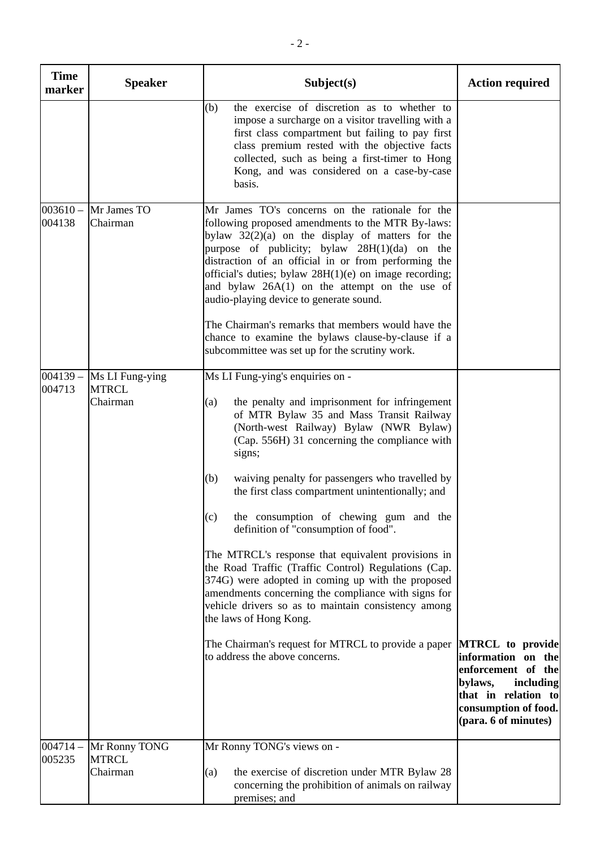| <b>Time</b><br>marker | <b>Speaker</b>                              | Subject(s)                                                                                                                                                                                                                                                                                                                                                                                                                                                                                                                                                                                                                                                                                                                                                                                                                                           | <b>Action required</b>                                                                                            |
|-----------------------|---------------------------------------------|------------------------------------------------------------------------------------------------------------------------------------------------------------------------------------------------------------------------------------------------------------------------------------------------------------------------------------------------------------------------------------------------------------------------------------------------------------------------------------------------------------------------------------------------------------------------------------------------------------------------------------------------------------------------------------------------------------------------------------------------------------------------------------------------------------------------------------------------------|-------------------------------------------------------------------------------------------------------------------|
|                       |                                             | the exercise of discretion as to whether to<br>(b)<br>impose a surcharge on a visitor travelling with a<br>first class compartment but failing to pay first<br>class premium rested with the objective facts<br>collected, such as being a first-timer to Hong<br>Kong, and was considered on a case-by-case<br>basis.                                                                                                                                                                                                                                                                                                                                                                                                                                                                                                                               |                                                                                                                   |
| $003610 -$<br>004138  | Mr James TO<br>Chairman                     | Mr James TO's concerns on the rationale for the<br>following proposed amendments to the MTR By-laws:<br>bylaw $32(2)(a)$ on the display of matters for the<br>purpose of publicity; bylaw $28H(1)(da)$ on the<br>distraction of an official in or from performing the<br>official's duties; bylaw $28H(1)(e)$ on image recording;<br>and bylaw $26A(1)$ on the attempt on the use of<br>audio-playing device to generate sound.<br>The Chairman's remarks that members would have the<br>chance to examine the bylaws clause-by-clause if a<br>subcommittee was set up for the scrutiny work.                                                                                                                                                                                                                                                        |                                                                                                                   |
| $004139 -$<br>004713  | Ms LI Fung-ying<br><b>MTRCL</b><br>Chairman | Ms LI Fung-ying's enquiries on -<br>the penalty and imprisonment for infringement<br>(a)<br>of MTR Bylaw 35 and Mass Transit Railway<br>(North-west Railway) Bylaw (NWR Bylaw)<br>(Cap. 556H) 31 concerning the compliance with<br>signs;<br>waiving penalty for passengers who travelled by<br>(b)<br>the first class compartment unintentionally; and<br>the consumption of chewing gum and the<br>(c)<br>definition of "consumption of food".<br>The MTRCL's response that equivalent provisions in<br>the Road Traffic (Traffic Control) Regulations (Cap.<br>374G) were adopted in coming up with the proposed<br>amendments concerning the compliance with signs for<br>vehicle drivers so as to maintain consistency among<br>the laws of Hong Kong.<br>The Chairman's request for MTRCL to provide a paper<br>to address the above concerns. | <b>MTRCL</b> to provide<br>information on the                                                                     |
|                       |                                             |                                                                                                                                                                                                                                                                                                                                                                                                                                                                                                                                                                                                                                                                                                                                                                                                                                                      | enforcement of the<br>bylaws,<br>including<br>that in relation to<br>consumption of food.<br>(para. 6 of minutes) |
| $004714 -$<br>005235  | Mr Ronny TONG<br><b>MTRCL</b><br>Chairman   | Mr Ronny TONG's views on -<br>the exercise of discretion under MTR Bylaw 28<br>(a)<br>concerning the prohibition of animals on railway<br>premises; and                                                                                                                                                                                                                                                                                                                                                                                                                                                                                                                                                                                                                                                                                              |                                                                                                                   |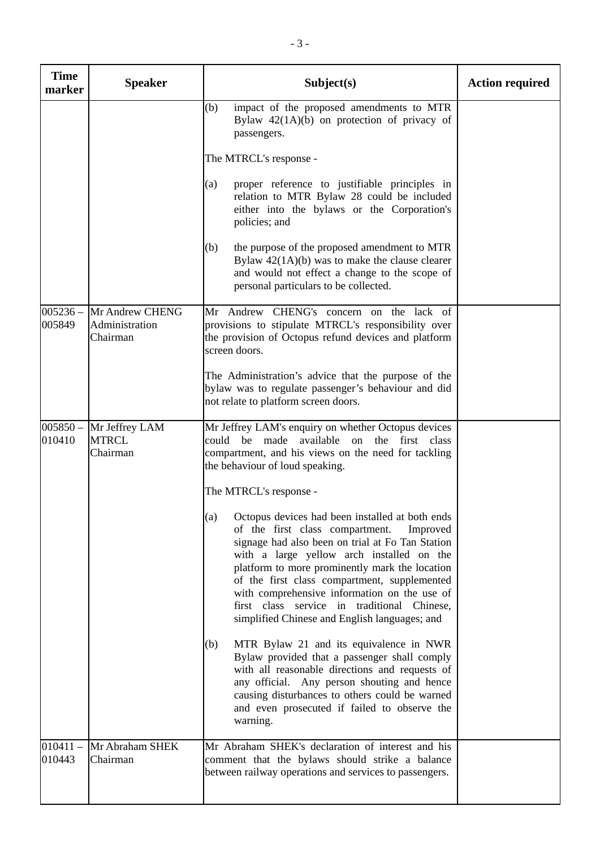| <b>Time</b><br>marker | <b>Speaker</b>                                | Subject(s)                                                                                                                                                                                                                                                                                                                                                                                                                                            | <b>Action required</b> |
|-----------------------|-----------------------------------------------|-------------------------------------------------------------------------------------------------------------------------------------------------------------------------------------------------------------------------------------------------------------------------------------------------------------------------------------------------------------------------------------------------------------------------------------------------------|------------------------|
|                       |                                               | impact of the proposed amendments to MTR<br>(b)<br>Bylaw $42(1A)(b)$ on protection of privacy of<br>passengers.                                                                                                                                                                                                                                                                                                                                       |                        |
|                       |                                               | The MTRCL's response -                                                                                                                                                                                                                                                                                                                                                                                                                                |                        |
|                       |                                               | proper reference to justifiable principles in<br>(a)<br>relation to MTR Bylaw 28 could be included<br>either into the bylaws or the Corporation's<br>policies; and                                                                                                                                                                                                                                                                                    |                        |
|                       |                                               | the purpose of the proposed amendment to MTR<br>(b)<br>Bylaw $42(1A)(b)$ was to make the clause clearer<br>and would not effect a change to the scope of<br>personal particulars to be collected.                                                                                                                                                                                                                                                     |                        |
| $005236 -$<br>005849  | Mr Andrew CHENG<br>Administration<br>Chairman | Mr Andrew CHENG's concern on the lack of<br>provisions to stipulate MTRCL's responsibility over<br>the provision of Octopus refund devices and platform<br>screen doors.                                                                                                                                                                                                                                                                              |                        |
|                       |                                               | The Administration's advice that the purpose of the<br>bylaw was to regulate passenger's behaviour and did<br>not relate to platform screen doors.                                                                                                                                                                                                                                                                                                    |                        |
| $005850 -$<br>010410  | Mr Jeffrey LAM<br><b>MTRCL</b><br>Chairman    | Mr Jeffrey LAM's enquiry on whether Octopus devices<br>could<br>be<br>made<br>available<br>the<br>first class<br>on<br>compartment, and his views on the need for tackling<br>the behaviour of loud speaking.                                                                                                                                                                                                                                         |                        |
|                       |                                               | The MTRCL's response -                                                                                                                                                                                                                                                                                                                                                                                                                                |                        |
|                       |                                               | (a) Octopus devices had been installed at both ends<br>of the first class compartment.<br>Improved<br>signage had also been on trial at Fo Tan Station<br>with a large yellow arch installed on the<br>platform to more prominently mark the location<br>of the first class compartment, supplemented<br>with comprehensive information on the use of<br>first class service in traditional Chinese,<br>simplified Chinese and English languages; and |                        |
|                       |                                               | MTR Bylaw 21 and its equivalence in NWR<br>(b)<br>Bylaw provided that a passenger shall comply<br>with all reasonable directions and requests of<br>any official. Any person shouting and hence<br>causing disturbances to others could be warned<br>and even prosecuted if failed to observe the<br>warning.                                                                                                                                         |                        |
| $010411 -$<br>010443  | Mr Abraham SHEK<br>Chairman                   | Mr Abraham SHEK's declaration of interest and his<br>comment that the bylaws should strike a balance<br>between railway operations and services to passengers.                                                                                                                                                                                                                                                                                        |                        |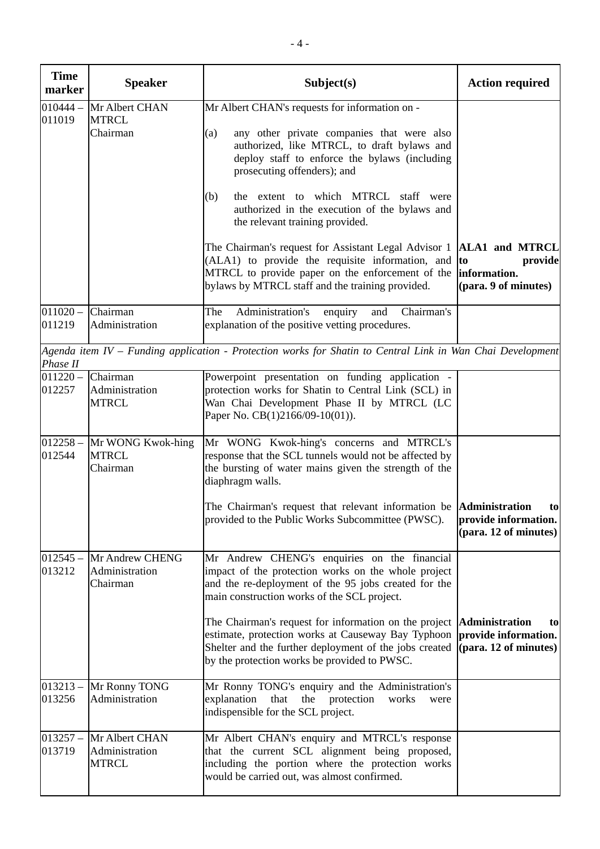| <b>Time</b><br>marker | <b>Speaker</b>                                   | Subject(s)                                                                                                                                                                                                            | <b>Action required</b>                                                         |
|-----------------------|--------------------------------------------------|-----------------------------------------------------------------------------------------------------------------------------------------------------------------------------------------------------------------------|--------------------------------------------------------------------------------|
| $010444 -$            | Mr Albert CHAN                                   | Mr Albert CHAN's requests for information on -                                                                                                                                                                        |                                                                                |
| 011019                | <b>MTRCL</b><br>Chairman                         | any other private companies that were also<br>(a)<br>authorized, like MTRCL, to draft bylaws and<br>deploy staff to enforce the bylaws (including<br>prosecuting offenders); and                                      |                                                                                |
|                       |                                                  | the extent to which MTRCL staff were<br>(b)<br>authorized in the execution of the bylaws and<br>the relevant training provided.                                                                                       |                                                                                |
|                       |                                                  | The Chairman's request for Assistant Legal Advisor 1<br>(ALA1) to provide the requisite information, and<br>MTRCL to provide paper on the enforcement of the<br>bylaws by MTRCL staff and the training provided.      | <b>ALA1</b> and MTRCL<br>to<br>provide<br>information.<br>(para. 9 of minutes) |
| $011020 -$<br>011219  | Chairman<br>Administration                       | Administration's<br>enquiry<br>Chairman's<br>The<br>and<br>explanation of the positive vetting procedures.                                                                                                            |                                                                                |
| Phase II              |                                                  | Agenda item IV – Funding application - Protection works for Shatin to Central Link in Wan Chai Development                                                                                                            |                                                                                |
| $011220 -$<br>012257  | Chairman<br>Administration<br><b>MTRCL</b>       | Powerpoint presentation on funding application -<br>protection works for Shatin to Central Link (SCL) in<br>Wan Chai Development Phase II by MTRCL (LC<br>Paper No. CB(1)2166/09-10(01)).                             |                                                                                |
| $012258 -$<br>012544  | Mr WONG Kwok-hing<br><b>MTRCL</b><br>Chairman    | Mr WONG Kwok-hing's concerns and MTRCL's<br>response that the SCL tunnels would not be affected by<br>the bursting of water mains given the strength of the<br>diaphragm walls.                                       |                                                                                |
|                       |                                                  | The Chairman's request that relevant information be <b>Administration</b><br>provided to the Public Works Subcommittee (PWSC).                                                                                        | to<br>provide information.<br>(para. 12 of minutes)                            |
| $012545 -$<br>013212  | Mr Andrew CHENG<br>Administration<br>Chairman    | Mr Andrew CHENG's enquiries on the financial<br>impact of the protection works on the whole project<br>and the re-deployment of the 95 jobs created for the<br>main construction works of the SCL project.            |                                                                                |
|                       |                                                  | The Chairman's request for information on the project<br>estimate, protection works at Causeway Bay Typhoon<br>Shelter and the further deployment of the jobs created<br>by the protection works be provided to PWSC. | <b>Administration</b><br>to<br>provide information.<br>(para. 12 of minutes)   |
| $013213 -$<br>013256  | Mr Ronny TONG<br>Administration                  | Mr Ronny TONG's enquiry and the Administration's<br>explanation<br>that<br>the<br>protection<br>works<br>were<br>indispensible for the SCL project.                                                                   |                                                                                |
| $013257 -$<br>013719  | Mr Albert CHAN<br>Administration<br><b>MTRCL</b> | Mr Albert CHAN's enquiry and MTRCL's response<br>that the current SCL alignment being proposed,<br>including the portion where the protection works<br>would be carried out, was almost confirmed.                    |                                                                                |